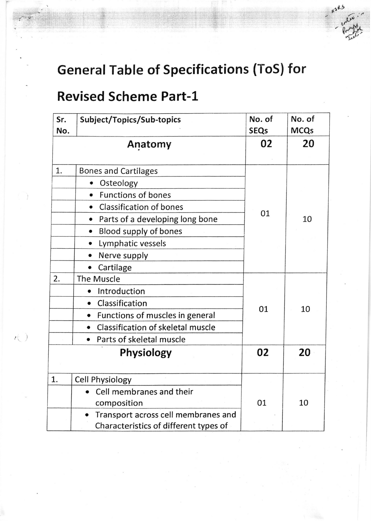

## General Table of Specifications (ToS) for

## Revised Scheme Part-1

 $\mathbf{r}(\cdot)$ 

| Sr.<br>No. | Subject/Topics/Sub-topics                      | No. of<br><b>SEQs</b> | No. of<br><b>MCQs</b> |
|------------|------------------------------------------------|-----------------------|-----------------------|
|            | Anatomy                                        | 02                    | 20                    |
| 1.         | <b>Bones and Cartilages</b>                    | 01                    | 10                    |
|            | Osteology<br>$\bullet$                         |                       |                       |
|            | <b>Functions of bones</b>                      |                       |                       |
|            | <b>Classification of bones</b>                 |                       |                       |
|            | Parts of a developing long bone                |                       |                       |
|            | Blood supply of bones                          |                       |                       |
|            | Lymphatic vessels                              |                       |                       |
|            | Nerve supply                                   |                       |                       |
|            | Cartilage<br>$\bullet$                         |                       |                       |
| 2.         | The Muscle                                     | 01                    | 10                    |
|            | Introduction                                   |                       |                       |
|            | Classification                                 |                       |                       |
|            | Functions of muscles in general<br>$\bullet$   |                       |                       |
|            | Classification of skeletal muscle<br>$\bullet$ |                       |                       |
|            | Parts of skeletal muscle<br>$\bullet$          |                       |                       |
|            | <b>Physiology</b>                              | 02                    | 20                    |
| 1.         | <b>Cell Physiology</b>                         | 01                    | 10                    |
|            | • Cell membranes and their                     |                       |                       |
|            | composition                                    |                       |                       |
|            | Transport across cell membranes and            |                       |                       |
|            | Characteristics of different types of          |                       |                       |